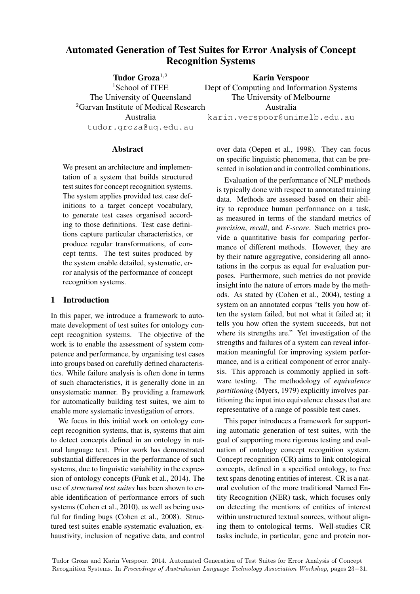# Automated Generation of Test Suites for Error Analysis of Concept Recognition Systems

Tudor Groza<sup>1</sup>,<sup>2</sup> <sup>1</sup>School of ITEE The University of Queensland <sup>2</sup>Garvan Institute of Medical Research Australia tudor.groza@uq.edu.au

Karin Verspoor Dept of Computing and Information Systems The University of Melbourne Australia karin.verspoor@unimelb.edu.au

**Abstract** 

We present an architecture and implementation of a system that builds structured test suites for concept recognition systems. The system applies provided test case definitions to a target concept vocabulary, to generate test cases organised according to those definitions. Test case definitions capture particular characteristics, or produce regular transformations, of concept terms. The test suites produced by the system enable detailed, systematic, error analysis of the performance of concept recognition systems.

#### 1 Introduction

In this paper, we introduce a framework to automate development of test suites for ontology concept recognition systems. The objective of the work is to enable the assessment of system competence and performance, by organising test cases into groups based on carefully defined characteristics. While failure analysis is often done in terms of such characteristics, it is generally done in an unsystematic manner. By providing a framework for automatically building test suites, we aim to enable more systematic investigation of errors.

We focus in this initial work on ontology concept recognition systems, that is, systems that aim to detect concepts defined in an ontology in natural language text. Prior work has demonstrated substantial differences in the performance of such systems, due to linguistic variability in the expression of ontology concepts (Funk et al., 2014). The use of *structured test suites* has been shown to enable identification of performance errors of such systems (Cohen et al., 2010), as well as being useful for finding bugs (Cohen et al., 2008). Structured test suites enable systematic evaluation, exhaustivity, inclusion of negative data, and control over data (Oepen et al., 1998). They can focus on specific linguistic phenomena, that can be presented in isolation and in controlled combinations.

Evaluation of the performance of NLP methods is typically done with respect to annotated training data. Methods are assessed based on their ability to reproduce human performance on a task, as measured in terms of the standard metrics of *precision*, *recall*, and *F-score*. Such metrics provide a quantitative basis for comparing performance of different methods. However, they are by their nature aggregative, considering all annotations in the corpus as equal for evaluation purposes. Furthermore, such metrics do not provide insight into the nature of errors made by the methods. As stated by (Cohen et al., 2004), testing a system on an annotated corpus "tells you how often the system failed, but not what it failed at; it tells you how often the system succeeds, but not where its strengths are." Yet investigation of the strengths and failures of a system can reveal information meaningful for improving system performance, and is a critical component of error analysis. This approach is commonly applied in software testing. The methodology of *equivalence partitioning* (Myers, 1979) explicitly involves partitioning the input into equivalence classes that are representative of a range of possible test cases.

This paper introduces a framework for supporting automatic generation of test suites, with the goal of supporting more rigorous testing and evaluation of ontology concept recognition system. Concept recognition (CR) aims to link ontological concepts, defined in a specified ontology, to free text spans denoting entities of interest. CR is a natural evolution of the more traditional Named Entity Recognition (NER) task, which focuses only on detecting the mentions of entities of interest within unstructured textual sources, without aligning them to ontological terms. Well-studies CR tasks include, in particular, gene and protein nor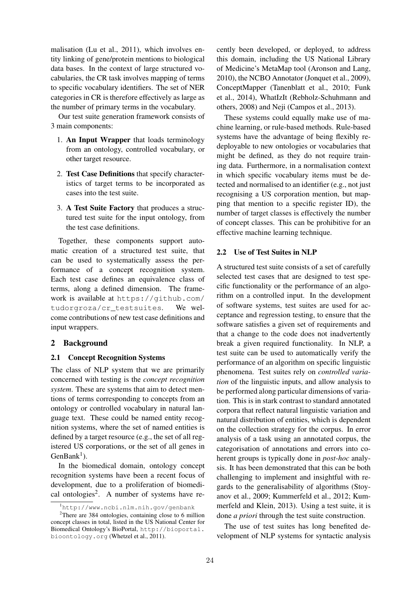malisation (Lu et al., 2011), which involves entity linking of gene/protein mentions to biological data bases. In the context of large structured vocabularies, the CR task involves mapping of terms to specific vocabulary identifiers. The set of NER categories in CR is therefore effectively as large as the number of primary terms in the vocabulary.

Our test suite generation framework consists of 3 main components:

- 1. An Input Wrapper that loads terminology from an ontology, controlled vocabulary, or other target resource.
- 2. Test Case Definitions that specify characteristics of target terms to be incorporated as cases into the test suite.
- 3. A Test Suite Factory that produces a structured test suite for the input ontology, from the test case definitions.

Together, these components support automatic creation of a structured test suite, that can be used to systematically assess the performance of a concept recognition system. Each test case defines an equivalence class of terms, along a defined dimension. The framework is available at https://github.com/ tudorgroza/cr\_testsuites. We welcome contributions of new test case definitions and input wrappers.

#### 2 Background

#### 2.1 Concept Recognition Systems

The class of NLP system that we are primarily concerned with testing is the *concept recognition system*. These are systems that aim to detect mentions of terms corresponding to concepts from an ontology or controlled vocabulary in natural language text. These could be named entity recognition systems, where the set of named entities is defined by a target resource (e.g., the set of all registered US corporations, or the set of all genes in  $GenBank<sup>1</sup>$ ).

In the biomedical domain, ontology concept recognition systems have been a recent focus of development, due to a proliferation of biomedical ontologies<sup>2</sup>. A number of systems have re-

cently been developed, or deployed, to address this domain, including the US National Library of Medicine's MetaMap tool (Aronson and Lang, 2010), the NCBO Annotator (Jonquet et al., 2009), ConceptMapper (Tanenblatt et al., 2010; Funk et al., 2014), WhatIzIt (Rebholz-Schuhmann and others, 2008) and Neji (Campos et al., 2013).

These systems could equally make use of machine learning, or rule-based methods. Rule-based systems have the advantage of being flexibly redeployable to new ontologies or vocabularies that might be defined, as they do not require training data. Furthermore, in a normalisation context in which specific vocabulary items must be detected and normalised to an identifier (e.g., not just recognising a US corporation mention, but mapping that mention to a specific register ID), the number of target classes is effectively the number of concept classes. This can be prohibitive for an effective machine learning technique.

#### 2.2 Use of Test Suites in NLP

A structured test suite consists of a set of carefully selected test cases that are designed to test specific functionality or the performance of an algorithm on a controlled input. In the development of software systems, test suites are used for acceptance and regression testing, to ensure that the software satisfies a given set of requirements and that a change to the code does not inadvertently break a given required functionality. In NLP, a test suite can be used to automatically verify the performance of an algorithm on specific linguistic phenomena. Test suites rely on *controlled variation* of the linguistic inputs, and allow analysis to be performed along particular dimensions of variation. This is in stark contrast to standard annotated corpora that reflect natural linguistic variation and natural distribution of entities, which is dependent on the collection strategy for the corpus. In error analysis of a task using an annotated corpus, the categorisation of annotations and errors into coherent groups is typically done in *post-hoc* analysis. It has been demonstrated that this can be both challenging to implement and insightful with regards to the generalisability of algorithms (Stoyanov et al., 2009; Kummerfeld et al., 2012; Kummerfeld and Klein, 2013). Using a test suite, it is done *a priori* through the test suite construction.

The use of test suites has long benefited development of NLP systems for syntactic analysis

<sup>1</sup>http://www.ncbi.nlm.nih.gov/genbank

<sup>&</sup>lt;sup>2</sup>There are 384 ontologies, containing close to 6 million concept classes in total, listed in the US National Center for Biomedical Ontology's BioPortal, http://bioportal. bioontology.org (Whetzel et al., 2011).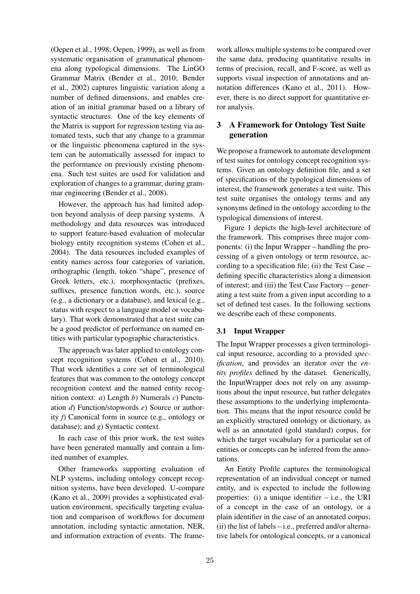(Oepen et al., 1998; Oepen, 1999), as well as from systematic organisation of grammatical phenomena along typological dimensions. The LinGO Grammar Matrix (Bender et al., 2010; Bender et al., 2002) captures linguistic variation along a number of defined dimensions, and enables creation of an initial grammar based on a library of syntactic structures. One of the key elements of the Matrix is support for regression testing via automated tests, such that any change to a grammar or the linguistic phenomena captured in the system can be automatically assessed for impact to the performance on previously existing phenomena. Such test suites are used for validation and exploration of changes to a grammar, during grammar engineering (Bender et al., 2008).

However, the approach has had limited adoption beyond analysis of deep parsing systems. A methodology and data resources was introduced to support feature-based evaluation of molecular biology entity recognition systems (Cohen et al., 2004). The data resources included examples of entity names across four categories of variation, orthographic (length, token "shape", presence of Greek letters, etc.), morphosyntactic (prefixes, suffixes, presence function words, etc.), source (e.g., a dictionary or a database), and lexical (e.g., status with respect to a language model or vocabulary). That work demonstrated that a test suite can be a good predictor of performance on named entities with particular typographic characteristics.

The approach was later applied to ontology concept recognition systems (Cohen et al., 2010). That work identifies a core set of terminological features that was common to the ontology concept recognition context and the named entity recognition context: *a*) Length *b*) Numerals *c*) Punctuation *d*) Function/stopwords *e*) Source or authority *f*) Canonical form in source (e.g., ontology or database); and *g*) Syntactic context.

In each case of this prior work, the test suites have been generated manually and contain a limited number of examples.

Other frameworks supporting evaluation of NLP systems, including ontology concept recognition systems, have been developed. U-compare (Kano et al., 2009) provides a sophisticated evaluation environment, specifically targeting evaluation and comparison of workflows for document annotation, including syntactic annotation, NER, and information extraction of events. The frame-

work allows multiple systems to be compared over the same data, producing quantitative results in terms of precision, recall, and F-score, as well as supports visual inspection of annotations and annotation differences (Kano et al., 2011). However, there is no direct support for quantitative error analysis.

# 3 A Framework for Ontology Test Suite generation

We propose a framework to automate development of test suites for ontology concept recognition systems. Given an ontology definition file, and a set of specifications of the typological dimensions of interest, the framework generates a test suite. This test suite organises the ontology terms and any synonyms defined in the ontology according to the typological dimensions of interest.

Figure 1 depicts the high-level architecture of the framework. This comprises three major components: (i) the Input Wrapper – handling the processing of a given ontology or term resource, according to a specification file; (ii) the Test Case – defining specific characteristics along a dimension of interest; and (iii) the Test Case Factory – generating a test suite from a given input according to a set of defined test cases. In the following sections we describe each of these components.

# 3.1 Input Wrapper

The Input Wrapper processes a given terminological input resource, according to a provided *specification*, and provides an iterator over the *entity profiles* defined by the dataset. Generically, the InputWrapper does not rely on any assumptions about the input resource, but rather delegates these assumptions to the underlying implementation. This means that the input resource could be an explicitly structured ontology or dictionary, as well as an annotated (gold standard) corpus, for which the target vocabulary for a particular set of entities or concepts can be inferred from the annotations.

An Entity Profile captures the terminological representation of an individual concept or named entity, and is expected to include the following properties: (i) a unique identifier  $-$  i.e., the URI of a concept in the case of an ontology, or a plain identifier in the case of an annotated corpus; (ii) the list of labels – i.e., preferred and/or alternative labels for ontological concepts, or a canonical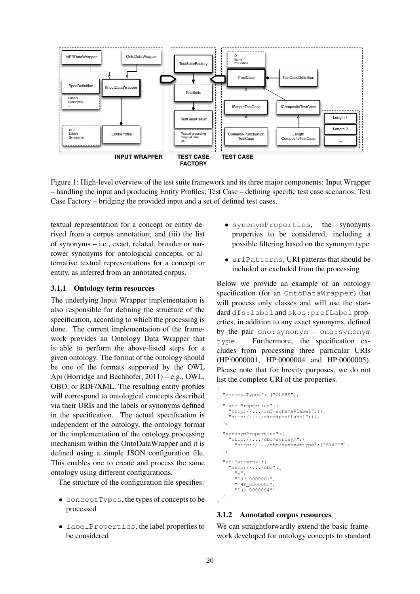

Figure 1: High-level overview of the test suite framework and its three major components: Input Wrapper – handling the input and producing Entity Profiles; Test Case – defining specific test case scenarios; Test Case Factory – bridging the provided input and a set of defined test cases.

textual representation for a concept or entity derived from a corpus annotation; and (iii) the list of synonyms – i.e., exact, related, broader or narrower synonyms for ontological concepts, or alternative textual representations for a concept or entity, as inferred from an annotated corpus.

#### 3.1.1 Ontology term resources

The underlying Input Wrapper implementation is also responsible for defining the structure of the specification, according to which the processing is done. The current implementation of the framework provides an Ontology Data Wrapper that is able to perform the above-listed steps for a given ontology. The format of the ontology should be one of the formats supported by the OWL Api (Horridge and Bechhofer, 2011) – e.g., OWL, OBO, or RDF/XML. The resulting entity profiles will correspond to ontological concepts described via their URIs and the labels or synonyms defined in the specification. The actual specification is independent of the ontology, the ontology format or the implementation of the ontology processing mechanism within the OntoDataWrapper and it is defined using a simple JSON configuration file. This enables one to create and process the same ontology using different configurations.

The structure of the configuration file specifies:

- conceptTypes, the types of concepts to be processed
- labelProperties, the label properties to be considered
- synonymProperties, the synonyms properties to be considered, including a possible filtering based on the synonym type
- uriPatterns, URI patterns that should be included or excluded from the processing

Below we provide an example of an ontology specification (for an OntoDataWrapper) that will process only classes and will use the standard dfs:label and skos:prefLabel properties, in addition to any exact synonyms, defined by the pair ono:synonym – ono:synonym type. Furthermore, the specification excludes from processing three particular URIs (HP:0000001, HP:0000004 and HP:0000005). Please note that for brevity purposes, we do not list the complete URI of the properties.

```
"conceptTypes": ["CLASS"],
  "labelProperties":{
    "http://.../rdf-schema#label":{},
    "http://.../skos#prefLabel":{},
  },
  "synonymProperties":{
    "http://.../obo/synonym":{
      "http://.../obo/synonymtype":["EXACT"]}
  },
  "uriPatterns":{
    "http://.../obo":[
      ", ""˜HP_0000001",
      " "HP_0000005"
      " "HP_0000004"]
  }
}
```
### 3.1.2 Annotated corpus resources

We can straightforwardly extend the basic framework developed for ontology concepts to standard

{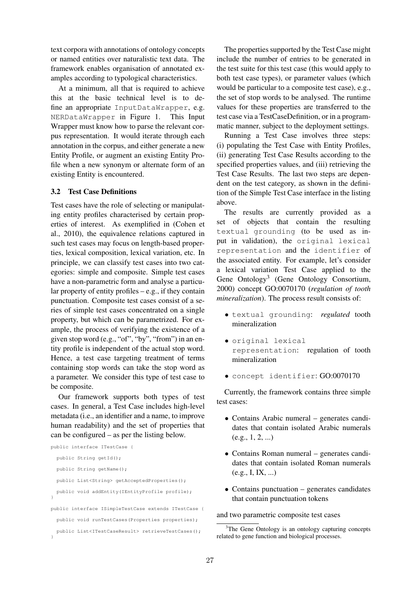text corpora with annotations of ontology concepts or named entities over naturalistic text data. The framework enables organisation of annotated examples according to typological characteristics.

At a minimum, all that is required to achieve this at the basic technical level is to define an appropriate InputDataWrapper, e.g. NERDataWrapper in Figure 1. This Input Wrapper must know how to parse the relevant corpus representation. It would iterate through each annotation in the corpus, and either generate a new Entity Profile, or augment an existing Entity Profile when a new synonym or alternate form of an existing Entity is encountered.

#### 3.2 Test Case Definitions

Test cases have the role of selecting or manipulating entity profiles characterised by certain properties of interest. As exemplified in (Cohen et al., 2010), the equivalence relations captured in such test cases may focus on length-based properties, lexical composition, lexical variation, etc. In principle, we can classify test cases into two categories: simple and composite. Simple test cases have a non-parametric form and analyse a particular property of entity profiles  $-e.g.,$  if they contain punctuation. Composite test cases consist of a series of simple test cases concentrated on a single property, but which can be parametrized. For example, the process of verifying the existence of a given stop word (e.g., "of", "by", "from") in an entity profile is independent of the actual stop word. Hence, a test case targeting treatment of terms containing stop words can take the stop word as a parameter. We consider this type of test case to be composite.

Our framework supports both types of test cases. In general, a Test Case includes high-level metadata (i.e., an identifier and a name, to improve human readability) and the set of properties that can be configured – as per the listing below.

```
public interface ITestCase {
  public String getId();
  public String getName();
  public List<String> getAcceptedProperties();
 public void addEntity(IEntityProfile profile);
}
public interface ISimpleTestCase extends ITestCase {
  public void runTestCases(Properties properties);
 public List<ITestCaseResult> retrieveTestCases();
}
```
The properties supported by the Test Case might include the number of entries to be generated in the test suite for this test case (this would apply to both test case types), or parameter values (which would be particular to a composite test case), e.g., the set of stop words to be analysed. The runtime values for these properties are transferred to the test case via a TestCaseDefinition, or in a programmatic manner, subject to the deployment settings.

Running a Test Case involves three steps: (i) populating the Test Case with Entity Profiles, (ii) generating Test Case Results according to the specified properties values, and (iii) retrieving the Test Case Results. The last two steps are dependent on the test category, as shown in the definition of the Simple Test Case interface in the listing above.

The results are currently provided as a set of objects that contain the resulting textual grounding (to be used as input in validation), the original lexical representation and the identifier of the associated entity. For example, let's consider a lexical variation Test Case applied to the Gene Ontology<sup>3</sup> (Gene Ontology Consortium, 2000) concept GO:0070170 (*regulation of tooth mineralization*). The process result consists of:

- textual grounding: *regulated* tooth mineralization
- original lexical representation: regulation of tooth mineralization
- concept identifier: GO:0070170

Currently, the framework contains three simple test cases:

- Contains Arabic numeral generates candidates that contain isolated Arabic numerals  $(e.g., 1, 2, ...)$
- Contains Roman numeral generates candidates that contain isolated Roman numerals  $(e.g., I, IX, ...)$
- Contains punctuation generates candidates that contain punctuation tokens

and two parametric composite test cases

 $3$ The Gene Ontology is an ontology capturing concepts related to gene function and biological processes.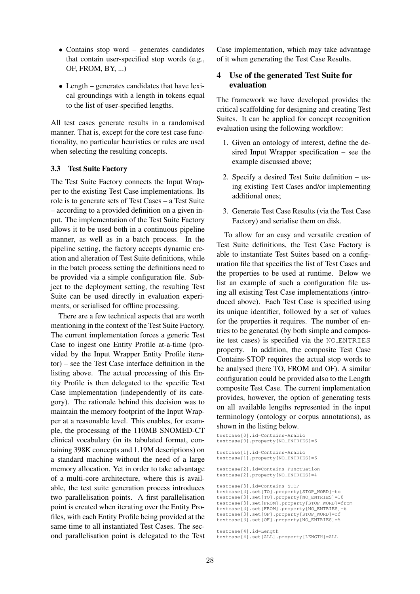- Contains stop word generates candidates that contain user-specified stop words (e.g., OF, FROM, BY, ...)
- Length generates candidates that have lexical groundings with a length in tokens equal to the list of user-specified lengths.

All test cases generate results in a randomised manner. That is, except for the core test case functionality, no particular heuristics or rules are used when selecting the resulting concepts.

#### 3.3 Test Suite Factory

The Test Suite Factory connects the Input Wrapper to the existing Test Case implementations. Its role is to generate sets of Test Cases – a Test Suite – according to a provided definition on a given input. The implementation of the Test Suite Factory allows it to be used both in a continuous pipeline manner, as well as in a batch process. In the pipeline setting, the factory accepts dynamic creation and alteration of Test Suite definitions, while in the batch process setting the definitions need to be provided via a simple configuration file. Subject to the deployment setting, the resulting Test Suite can be used directly in evaluation experiments, or serialised for offline processing.

There are a few technical aspects that are worth mentioning in the context of the Test Suite Factory. The current implementation forces a generic Test Case to ingest one Entity Profile at-a-time (provided by the Input Wrapper Entity Profile iterator) – see the Test Case interface definition in the listing above. The actual processing of this Entity Profile is then delegated to the specific Test Case implementation (independently of its category). The rationale behind this decision was to maintain the memory footprint of the Input Wrapper at a reasonable level. This enables, for example, the processing of the 110MB SNOMED-CT clinical vocabulary (in its tabulated format, containing 398K concepts and 1.19M descriptions) on a standard machine without the need of a large memory allocation. Yet in order to take advantage of a multi-core architecture, where this is available, the test suite generation process introduces two parallelisation points. A first parallelisation point is created when iterating over the Entity Profiles, with each Entity Profile being provided at the same time to all instantiated Test Cases. The second parallelisation point is delegated to the Test Case implementation, which may take advantage of it when generating the Test Case Results.

# 4 Use of the generated Test Suite for evaluation

The framework we have developed provides the critical scaffolding for designing and creating Test Suites. It can be applied for concept recognition evaluation using the following workflow:

- 1. Given an ontology of interest, define the desired Input Wrapper specification – see the example discussed above;
- 2. Specify a desired Test Suite definition using existing Test Cases and/or implementing additional ones;
- 3. Generate Test Case Results (via the Test Case Factory) and serialise them on disk.

To allow for an easy and versatile creation of Test Suite definitions, the Test Case Factory is able to instantiate Test Suites based on a configuration file that specifies the list of Test Cases and the properties to be used at runtime. Below we list an example of such a configuration file using all existing Test Case implementations (introduced above). Each Test Case is specified using its unique identifier, followed by a set of values for the properties it requires. The number of entries to be generated (by both simple and composite test cases) is specified via the NO ENTRIES property. In addition, the composite Test Case Contains-STOP requires the actual stop words to be analysed (here TO, FROM and OF). A similar configuration could be provided also to the Length composite Test Case. The current implementation provides, however, the option of generating tests on all available lengths represented in the input terminology (ontology or corpus annotations), as shown in the listing below.

```
testcase[0].id=Contains-Arabic
testcase[0].property[NO_ENTRIES]=6
testcase[1].id=Contains-Arabic
testcase[1].property[NO_ENTRIES]=6
testcase[2].id=Contains-Punctuation
testcase[2].property[NO_ENTRIES]=4
testcase[3].id=Contains-STOP
testcase[3].set[TO].property[STOP_WORD]=to
testcase[3].set[TO].property[NO_ENTRIES]=10
testcase[3].set[FROM].property[STOP_WORD]=from
testcase[3].set[FROM].property[NO_ENTRIES]=6
testcase[3].set[OF].property[STOP_WORD]=of
testcase[3].set[OF].property[NO_ENTRIES]=5
```
testcase[4].id=Length

testcase[4].set[ALL].property[LENGTH]=ALL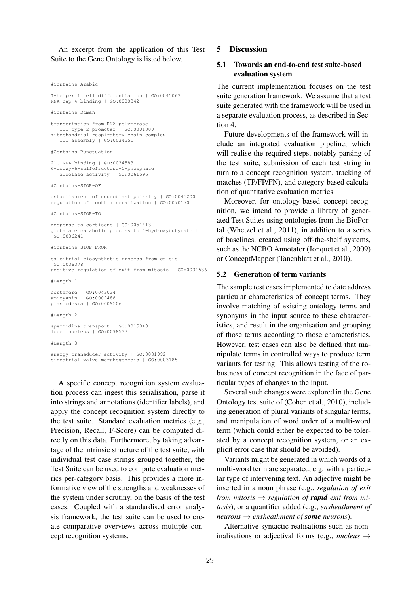An excerpt from the application of this Test Suite to the Gene Ontology is listed below.

#Contains-Arabic

T-helper 1 cell differentiation | GO:0045063 RNA cap 4 binding | GO:0000342

#Contains-Roman

```
transcription from RNA polymerase
  III type 2 promoter | GO:0001009
mitochondrial respiratory chain complex
  III assembly | GO:0034551
```
#Contains-Punctuation

21U-RNA binding | GO:0034583 6-deoxy-6-sulfofructose-1-phosphate aldolase activity | GO:0061595

#Contains-STOP-OF

establishment of neuroblast polarity | GO:0045200 regulation of tooth mineralization | GO:0070170

#Contains-STOP-TO

response to cortisone | GO:0051413 glutamate catabolic process to 4-hydroxybutyrate | GO:0036241

#Contains-STOP-FROM

calcitriol biosynthetic process from calciol | GO:0036378 positive regulation of exit from mitosis | GO:0031536

#Length-1

```
costamere | GO:0043034
amicyanin | GO:0009488
plasmodesma | GO:0009506
```
#### $#$ Length-2

```
spermidine transport | GO:0015848
lobed nucleus | GO:0098537
```
 $#Length-3$ 

energy transducer activity | GO:0031992 sinoatrial valve morphogenesis | GO:0003185

A specific concept recognition system evaluation process can ingest this serialisation, parse it into strings and annotations (identifier labels), and apply the concept recognition system directly to the test suite. Standard evaluation metrics (e.g., Precision, Recall, F-Score) can be computed directly on this data. Furthermore, by taking advantage of the intrinsic structure of the test suite, with individual test case strings grouped together, the Test Suite can be used to compute evaluation metrics per-category basis. This provides a more informative view of the strengths and weaknesses of the system under scrutiny, on the basis of the test cases. Coupled with a standardised error analysis framework, the test suite can be used to create comparative overviews across multiple concept recognition systems.

### 5 Discussion

### 5.1 Towards an end-to-end test suite-based evaluation system

The current implementation focuses on the test suite generation framework. We assume that a test suite generated with the framework will be used in a separate evaluation process, as described in Section 4.

Future developments of the framework will include an integrated evaluation pipeline, which will realise the required steps, notably parsing of the test suite, submission of each test string in turn to a concept recognition system, tracking of matches (TP/FP/FN), and category-based calculation of quantitative evaluation metrics.

Moreover, for ontology-based concept recognition, we intend to provide a library of generated Test Suites using ontologies from the BioPortal (Whetzel et al., 2011), in addition to a series of baselines, created using off-the-shelf systems, such as the NCBO Annotator (Jonquet et al., 2009) or ConceptMapper (Tanenblatt et al., 2010).

#### 5.2 Generation of term variants

The sample test cases implemented to date address particular characteristics of concept terms. They involve matching of existing ontology terms and synonyms in the input source to these characteristics, and result in the organisation and grouping of those terms according to those characteristics. However, test cases can also be defined that manipulate terms in controlled ways to produce term variants for testing. This allows testing of the robustness of concept recognition in the face of particular types of changes to the input.

Several such changes were explored in the Gene Ontology test suite of (Cohen et al., 2010), including generation of plural variants of singular terms, and manipulation of word order of a multi-word term (which could either be expected to be tolerated by a concept recognition system, or an explicit error case that should be avoided).

Variants might be generated in which words of a multi-word term are separated, e.g. with a particular type of intervening text. An adjective might be inserted in a noun phrase (e.g., *regulation of exit from mitosis*  $\rightarrow$  *regulation of rapid exit from mitosis*), or a quantifier added (e.g., *ensheathment of*  $neurons \rightarrow ensheathment of some neurons$ .

Alternative syntactic realisations such as nominalisations or adjectival forms (e.g., *nucleus* →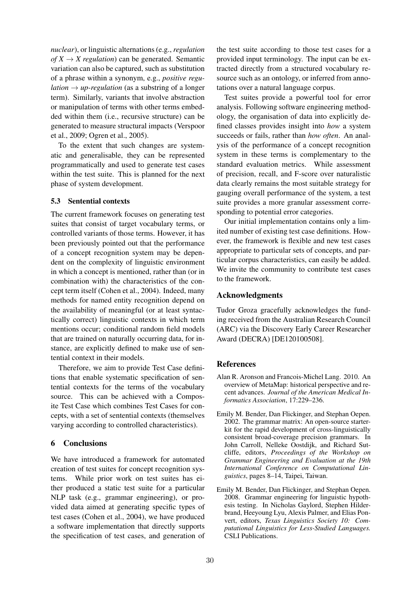*nuclear*), or linguistic alternations (e.g., *regulation*  $of X \rightarrow X$  *regulation*) can be generated. Semantic variation can also be captured, such as substitution of a phrase within a synonym, e.g., *positive regulation*  $\rightarrow$  *up-regulation* (as a substring of a longer term). Similarly, variants that involve abstraction or manipulation of terms with other terms embedded within them (i.e., recursive structure) can be generated to measure structural impacts (Verspoor et al., 2009; Ogren et al., 2005).

To the extent that such changes are systematic and generalisable, they can be represented programmatically and used to generate test cases within the test suite. This is planned for the next phase of system development.

#### 5.3 Sentential contexts

The current framework focuses on generating test suites that consist of target vocabulary terms, or controlled variants of those terms. However, it has been previously pointed out that the performance of a concept recognition system may be dependent on the complexity of linguistic environment in which a concept is mentioned, rather than (or in combination with) the characteristics of the concept term itself (Cohen et al., 2004). Indeed, many methods for named entity recognition depend on the availability of meaningful (or at least syntactically correct) linguistic contexts in which term mentions occur; conditional random field models that are trained on naturally occurring data, for instance, are explicitly defined to make use of sentential context in their models.

Therefore, we aim to provide Test Case definitions that enable systematic specification of sentential contexts for the terms of the vocabulary source. This can be achieved with a Composite Test Case which combines Test Cases for concepts, with a set of sentential contexts (themselves varying according to controlled characteristics).

# 6 Conclusions

We have introduced a framework for automated creation of test suites for concept recognition systems. While prior work on test suites has either produced a static test suite for a particular NLP task (e.g., grammar engineering), or provided data aimed at generating specific types of test cases (Cohen et al., 2004), we have produced a software implementation that directly supports the specification of test cases, and generation of

the test suite according to those test cases for a provided input terminology. The input can be extracted directly from a structured vocabulary resource such as an ontology, or inferred from annotations over a natural language corpus.

Test suites provide a powerful tool for error analysis. Following software engineering methodology, the organisation of data into explicitly defined classes provides insight into *how* a system succeeds or fails, rather than *how often*. An analysis of the performance of a concept recognition system in these terms is complementary to the standard evaluation metrics. While assessment of precision, recall, and F-score over naturalistic data clearly remains the most suitable strategy for gauging overall performance of the system, a test suite provides a more granular assessment corresponding to potential error categories.

Our initial implementation contains only a limited number of existing test case definitions. However, the framework is flexible and new test cases appropriate to particular sets of concepts, and particular corpus characteristics, can easily be added. We invite the community to contribute test cases to the framework.

# Acknowledgments

Tudor Groza gracefully acknowledges the funding received from the Australian Research Council (ARC) via the Discovery Early Career Researcher Award (DECRA) [DE120100508].

# **References**

- Alan R. Aronson and Francois-Michel Lang. 2010. An overview of MetaMap: historical perspective and recent advances. *Journal of the American Medical Informatics Association*, 17:229–236.
- Emily M. Bender, Dan Flickinger, and Stephan Oepen. 2002. The grammar matrix: An open-source starterkit for the rapid development of cross-linguistically consistent broad-coverage precision grammars. In John Carroll, Nelleke Oostdijk, and Richard Sutcliffe, editors, *Proceedings of the Workshop on Grammar Engineering and Evaluation at the 19th International Conference on Computational Linguistics*, pages 8–14, Taipei, Taiwan.
- Emily M. Bender, Dan Flickinger, and Stephan Oepen. 2008. Grammar engineering for linguistic hypothesis testing. In Nicholas Gaylord, Stephen Hilderbrand, Heeyoung Lyu, Alexis Palmer, and Elias Ponvert, editors, *Texas Linguistics Society 10: Computational Linguistics for Less-Studied Languages.* CSLI Publications.